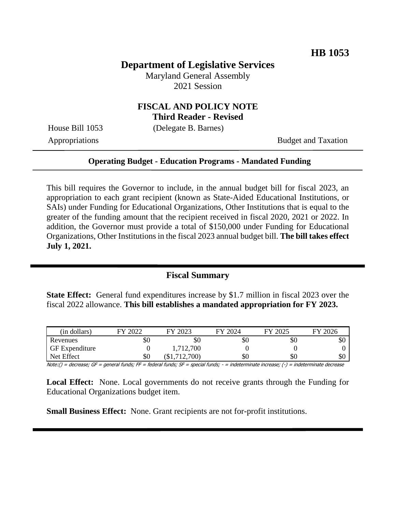#### **Department of Legislative Services**

Maryland General Assembly 2021 Session

# **FISCAL AND POLICY NOTE**

**Third Reader - Revised**

House Bill 1053 (Delegate B. Barnes)

Appropriations Budget and Taxation

#### **Operating Budget - Education Programs - Mandated Funding**

This bill requires the Governor to include, in the annual budget bill for fiscal 2023, an appropriation to each grant recipient (known as State-Aided Educational Institutions, or SAIs) under Funding for Educational Organizations, Other Institutions that is equal to the greater of the funding amount that the recipient received in fiscal 2020, 2021 or 2022. In addition, the Governor must provide a total of \$150,000 under Funding for Educational Organizations, Other Institutions in the fiscal 2023 annual budget bill. **The bill takes effect July 1, 2021.**

#### **Fiscal Summary**

**State Effect:** General fund expenditures increase by \$1.7 million in fiscal 2023 over the fiscal 2022 allowance. **This bill establishes a mandated appropriation for FY 2023.**

| (in dollars)          | 2022<br>ГV | 2023<br>FY             | 2024<br>FУ | FY 2025 | 2026<br>FУ |
|-----------------------|------------|------------------------|------------|---------|------------|
| Revenues              | \$0        | \$0                    | 20         | эU      | \$0        |
| <b>GF</b> Expenditure |            | 1,712,700              |            |         |            |
| Net Effect            | \$0        | 700)<br>$\overline{1}$ | \$0        | \$0     | \$0        |

Note:() = decrease; GF = general funds; FF = federal funds; SF = special funds; - = indeterminate increase; (-) = indeterminate decrease

**Local Effect:** None. Local governments do not receive grants through the Funding for Educational Organizations budget item.

**Small Business Effect:** None. Grant recipients are not for-profit institutions.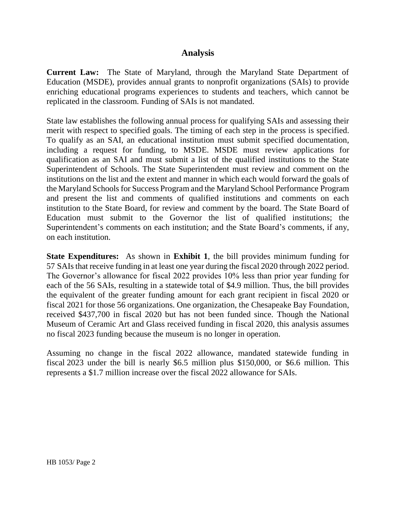#### **Analysis**

**Current Law:** The State of Maryland, through the Maryland State Department of Education (MSDE), provides annual grants to nonprofit organizations (SAIs) to provide enriching educational programs experiences to students and teachers, which cannot be replicated in the classroom. Funding of SAIs is not mandated.

State law establishes the following annual process for qualifying SAIs and assessing their merit with respect to specified goals. The timing of each step in the process is specified. To qualify as an SAI, an educational institution must submit specified documentation, including a request for funding, to MSDE. MSDE must review applications for qualification as an SAI and must submit a list of the qualified institutions to the State Superintendent of Schools. The State Superintendent must review and comment on the institutions on the list and the extent and manner in which each would forward the goals of the Maryland Schools for Success Program and the Maryland School Performance Program and present the list and comments of qualified institutions and comments on each institution to the State Board, for review and comment by the board. The State Board of Education must submit to the Governor the list of qualified institutions; the Superintendent's comments on each institution; and the State Board's comments, if any, on each institution.

**State Expenditures:** As shown in **Exhibit 1**, the bill provides minimum funding for 57 SAIsthat receive funding in at least one year during the fiscal 2020 through 2022 period. The Governor's allowance for fiscal 2022 provides 10% less than prior year funding for each of the 56 SAIs, resulting in a statewide total of \$4.9 million. Thus, the bill provides the equivalent of the greater funding amount for each grant recipient in fiscal 2020 or fiscal 2021 for those 56 organizations. One organization, the Chesapeake Bay Foundation, received \$437,700 in fiscal 2020 but has not been funded since. Though the National Museum of Ceramic Art and Glass received funding in fiscal 2020, this analysis assumes no fiscal 2023 funding because the museum is no longer in operation.

Assuming no change in the fiscal 2022 allowance, mandated statewide funding in fiscal 2023 under the bill is nearly \$6.5 million plus \$150,000, or \$6.6 million. This represents a \$1.7 million increase over the fiscal 2022 allowance for SAIs.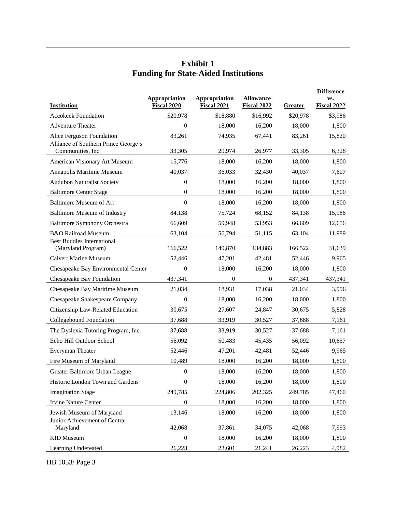### **Exhibit 1 Funding for State-Aided Institutions**

|                                                           | Appropriation    | Appropriation      | <b>Allowance</b>   | <b>Difference</b><br>VS. |                    |
|-----------------------------------------------------------|------------------|--------------------|--------------------|--------------------------|--------------------|
| <b>Institution</b>                                        | Fiscal 2020      | <b>Fiscal 2021</b> | <b>Fiscal 2022</b> | Greater                  | <b>Fiscal 2022</b> |
| <b>Accokeek Foundation</b>                                | \$20,978         | \$18,880           | \$16,992           | \$20,978                 | \$3,986            |
| <b>Adventure Theater</b>                                  | $\overline{0}$   | 18,000             | 16,200             | 18,000                   | 1,800              |
| Alice Ferguson Foundation                                 | 83,261           | 74,935             | 67,441             | 83,261                   | 15,820             |
| Alliance of Southern Prince George's<br>Communities, Inc. | 33,305           | 29,974             | 26,977             | 33,305                   | 6,328              |
| American Visionary Art Museum                             | 15,776           | 18,000             | 16,200             | 18,000                   | 1,800              |
| Annapolis Maritime Museum                                 | 40,037           | 36,033             | 32,430             | 40,037                   | 7,607              |
| <b>Audubon Naturalist Society</b>                         | $\boldsymbol{0}$ | 18,000             | 16,200             | 18,000                   | 1,800              |
| <b>Baltimore Center Stage</b>                             | $\boldsymbol{0}$ | 18,000             | 16,200             | 18,000                   | 1,800              |
| <b>Baltimore Museum of Art</b>                            | $\theta$         | 18,000             | 16,200             | 18,000                   | 1,800              |
| <b>Baltimore Museum of Industry</b>                       | 84,138           | 75,724             | 68,152             | 84,138                   | 15,986             |
| <b>Baltimore Symphony Orchestra</b>                       | 66,609           | 59,948             | 53,953             | 66,609                   | 12,656             |
| B&O Railroad Museum                                       | 63,104           |                    |                    | 63,104                   | 11,989             |
| <b>Best Buddies International</b>                         |                  | 56,794             | 51,115             |                          |                    |
| (Maryland Program)                                        | 166,522          | 149,870            | 134.883            | 166,522                  | 31.639             |
| <b>Calvert Marine Museum</b>                              | 52,446           | 47,201             | 42,481             | 52,446                   | 9,965              |
| Chesapeake Bay Environmental Center                       | $\boldsymbol{0}$ | 18,000             | 16,200             | 18,000                   | 1,800              |
| Chesapeake Bay Foundation                                 | 437,341          | $\overline{0}$     | $\mathbf{0}$       | 437,341                  | 437,341            |
| Chesapeake Bay Maritime Museum                            | 21,034           | 18,931             | 17,038             | 21,034                   | 3,996              |
| Chesapeake Shakespeare Company                            | $\boldsymbol{0}$ | 18,000             | 16,200             | 18,000                   | 1,800              |
| Citizenship Law-Related Education                         | 30,675           | 27,607             | 24,847             | 30,675                   | 5,828              |
| Collegebound Foundation                                   | 37,688           | 33,919             | 30,527             | 37,688                   | 7,161              |
| The Dyslexia Tutoring Program, Inc.                       | 37,688           | 33,919             | 30,527             | 37,688                   | 7,161              |
| Echo Hill Outdoor School                                  | 56,092           | 50,483             | 45,435             | 56,092                   | 10,657             |
| Everyman Theater                                          | 52,446           | 47,201             | 42,481             | 52,446                   | 9,965              |
| Fire Museum of Maryland                                   | 10,489           | 18,000             | 16,200             | 18,000                   | 1,800              |
| Greater Baltimore Urban League                            | $\boldsymbol{0}$ | 18,000             | 16,200             | 18,000                   | 1,800              |
| Historic London Town and Gardens                          | $\boldsymbol{0}$ | 18,000             | 16,200             | 18,000                   | 1,800              |
| <b>Imagination Stage</b>                                  | 249,785          | 224,806            | 202,325            | 249,785                  | 47,460             |
| <b>Irvine Nature Center</b>                               | $\boldsymbol{0}$ | 18,000             | 16,200             | 18,000                   | 1,800              |
| Jewish Museum of Maryland                                 | 13,146           | 18,000             | 16,200             | 18,000                   | 1,800              |
| Junior Achievement of Central                             |                  |                    |                    |                          |                    |
| Maryland                                                  | 42,068           | 37,861             | 34,075             | 42,068                   | 7,993              |
| <b>KID</b> Museum                                         | $\boldsymbol{0}$ | 18,000             | 16,200             | 18,000                   | 1,800              |
| Learning Undefeated                                       | 26,223           | 23,601             | 21,241             | 26,223                   | 4,982              |

HB 1053/ Page 3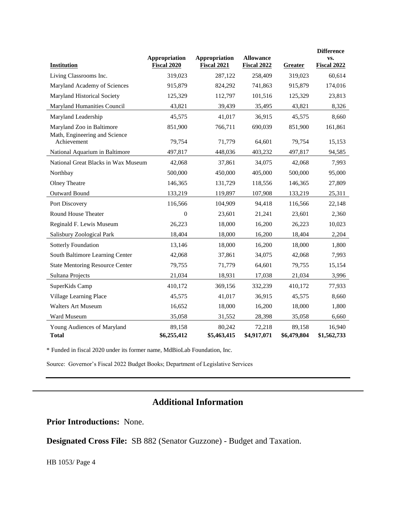| <b>Institution</b>                           | Appropriation<br>Fiscal 2020 | Appropriation<br><b>Fiscal 2021</b> | <b>Allowance</b><br><b>Fiscal 2022</b> | Greater               | <b>Difference</b><br>VS.<br><b>Fiscal 2022</b> |
|----------------------------------------------|------------------------------|-------------------------------------|----------------------------------------|-----------------------|------------------------------------------------|
| Living Classrooms Inc.                       | 319,023                      | 287,122                             | 258,409                                | 319,023               | 60,614                                         |
| Maryland Academy of Sciences                 | 915,879                      | 824,292                             | 741,863                                | 915,879               | 174,016                                        |
| Maryland Historical Society                  | 125,329                      | 112,797                             | 101,516                                | 125,329               | 23,813                                         |
| Maryland Humanities Council                  | 43,821                       | 39,439                              | 35,495                                 | 43,821                | 8,326                                          |
| Maryland Leadership                          | 45,575                       | 41,017                              | 36,915                                 | 45,575                | 8,660                                          |
| Maryland Zoo in Baltimore                    | 851,900                      | 766,711                             | 690,039                                | 851,900               | 161,861                                        |
| Math, Engineering and Science<br>Achievement | 79,754                       | 71,779                              | 64,601                                 | 79,754                | 15,153                                         |
| National Aquarium in Baltimore               | 497,817                      | 448,036                             | 403,232                                | 497,817               | 94,585                                         |
| National Great Blacks in Wax Museum          | 42,068                       | 37,861                              | 34,075                                 | 42,068                | 7,993                                          |
| Northbay                                     | 500,000                      | 450,000                             | 405,000                                | 500,000               | 95,000                                         |
| <b>Olney Theatre</b>                         | 146,365                      | 131,729                             | 118,556                                | 146,365               | 27,809                                         |
| Outward Bound                                | 133,219                      | 119,897                             | 107,908                                | 133,219               | 25,311                                         |
| Port Discovery                               | 116,566                      | 104,909                             | 94,418                                 | 116,566               | 22,148                                         |
| Round House Theater                          | $\overline{0}$               | 23,601                              | 21,241                                 | 23,601                | 2,360                                          |
| Reginald F. Lewis Museum                     | 26,223                       | 18,000                              | 16,200                                 | 26,223                | 10,023                                         |
| Salisbury Zoological Park                    | 18,404                       | 18,000                              | 16,200                                 | 18,404                | 2,204                                          |
| Sotterly Foundation                          | 13,146                       | 18,000                              | 16,200                                 | 18,000                | 1,800                                          |
| South Baltimore Learning Center              | 42,068                       | 37,861                              | 34,075                                 | 42,068                | 7,993                                          |
| <b>State Mentoring Resource Center</b>       | 79,755                       | 71,779                              | 64,601                                 | 79,755                | 15,154                                         |
| Sultana Projects                             | 21,034                       | 18,931                              | 17,038                                 | 21,034                | 3,996                                          |
| SuperKids Camp                               | 410,172                      | 369,156                             | 332,239                                | 410,172               | 77,933                                         |
| Village Learning Place                       | 45,575                       | 41,017                              | 36,915                                 | 45,575                | 8,660                                          |
| <b>Walters Art Museum</b>                    | 16,652                       | 18,000                              | 16,200                                 | 18,000                | 1,800                                          |
| Ward Museum                                  | 35,058                       | 31,552                              | 28,398                                 | 35,058                | 6,660                                          |
| Young Audiences of Maryland<br><b>Total</b>  | 89,158<br>\$6,255,412        | 80,242<br>\$5,463,415               | 72,218<br>\$4,917,071                  | 89,158<br>\$6,479,804 | 16,940<br>\$1,562,733                          |

\* Funded in fiscal 2020 under its former name, MdBioLab Foundation, Inc.

Source: Governor's Fiscal 2022 Budget Books; Department of Legislative Services

## **Additional Information**

**Prior Introductions:** None.

**Designated Cross File:** SB 882 (Senator Guzzone) - Budget and Taxation.